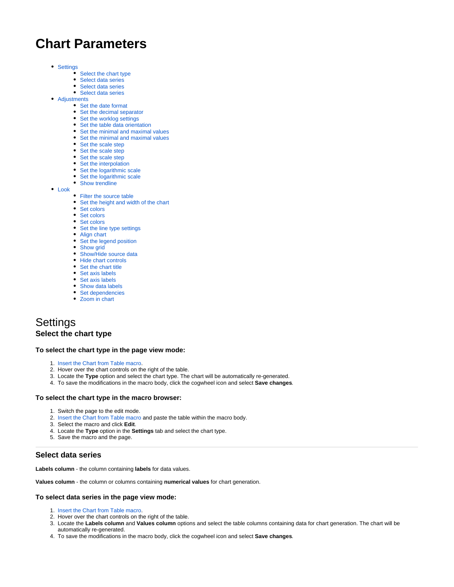# **Chart Parameters**

- [Settings](#page-0-0)
	- [Select the chart type](#page-0-1)
	- [Select data series](#page-0-2)
	- [Select data series](#page-1-0)
	- [Select data series](#page-1-1)
- [Adjustments](#page-1-2)
	- [Set the date format](#page-1-3)
	- [Set the decimal separator](#page-1-4)
	- [Set the worklog settings](#page-2-0)
	- [Set the table data orientation](#page-2-1) • [Set the minimal and maximal values](#page-2-2)
	- [Set the minimal and maximal values](#page-2-3)
	- [Set the scale step](#page-2-4)
	- [Set the scale step](#page-2-5)
	- [Set the scale step](#page-3-0)
	- [Set the interpolation](#page-3-1)
	- [Set the logarithmic scale](#page-3-2)
	- [Set the logarithmic scale](#page-3-3)
	- [Show trendline](#page-4-0)
- [Look](#page-4-1)
	- [Filter the source table](#page-4-2)
	- [Set the height and width of the chart](#page-4-3)
	- [Set colors](#page-4-4)
	- [Set colors](#page-4-5)
	- Set colors
	- [Set the line type settings](#page-5-0)
	- [Align chart](#page-5-1)
	- [Set the legend position](#page-5-2)
	- [Show grid](#page-5-3)
	- [Show/Hide source data](#page-5-4)
	- [Hide chart controls](#page-6-0)
	- [Set the chart title](#page-6-1)
	- [Set axis labels](#page-6-2)
	- [Set axis labels](#page-6-3)
	- [Show data labels](#page-6-4)
	- [Set dependencies](#page-6-5) • [Zoom in chart](#page-6-6)
- 

## <span id="page-0-1"></span><span id="page-0-0"></span>**Settings Select the chart type**

#### **To select the chart type in the page view mode:**

- 1. [Insert the Chart from Table macro.](https://docs.stiltsoft.com/display/TFAC/How+to+insert+and+remove+the+macros)
- 2. Hover over the chart controls on the right of the table.
- 3. Locate the **Type** option and select the chart type. The chart will be automatically re-generated.
- 4. To save the modifications in the macro body, click the cogwheel icon and select **Save changes**.

#### **To select the chart type in the macro browser:**

- 1. Switch the page to the edit mode.
- 2. [Insert the Chart from Table macro](https://docs.stiltsoft.com/display/TFAC/How+to+insert+and+remove+the+macros) and paste the table within the macro body.
- 3. Select the macro and click **Edit**.
- 4. Locate the **Type** option in the **Settings** tab and select the chart type.
- 5. Save the macro and the page.

## <span id="page-0-2"></span>**Select data series**

**Labels column** - the column containing **labels** for data values.

**Values column** - the column or columns containing **numerical values** for chart generation.

#### **To select data series in the page view mode:**

- 1. [Insert the Chart from Table macro.](https://docs.stiltsoft.com/display/TFAC/How+to+insert+and+remove+the+macros)
- 2. Hover over the chart controls on the right of the table.
- 3. Locate the **Labels column** and **Values column** options and select the table columns containing data for chart generation. The chart will be automatically re-generated.
- 4. To save the modifications in the macro body, click the cogwheel icon and select **Save changes**.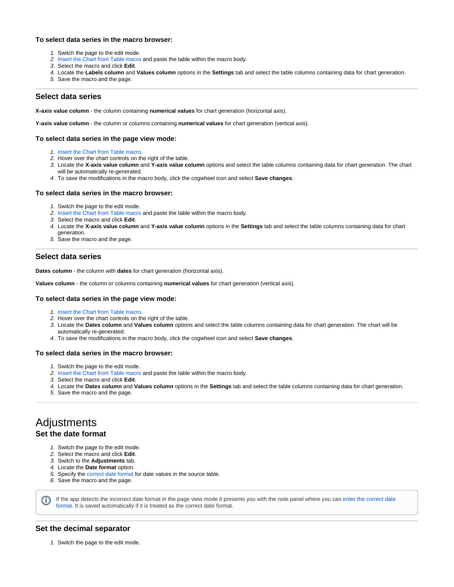### **To select data series in the macro browser:**

- 1. Switch the page to the edit mode.
- 2. [Insert the Chart from Table macro](https://docs.stiltsoft.com/display/TFAC/How+to+insert+and+remove+the+macros) and paste the table within the macro body.
- 3. Select the macro and click **Edit**.
- 4. Locate the **Labels column** and **Values column** options in the **Settings** tab and select the table columns containing data for chart generation.
- 5. Save the macro and the page.

## <span id="page-1-0"></span>**Select data series**

**X-axis value column** - the column containing **numerical values** for chart generation (horizontal axis).

**Y-axis value column** - the column or columns containing **numerical values** for chart generation (vertical axis).

### **To select data series in the page view mode:**

- 1. [Insert the Chart from Table macro.](https://docs.stiltsoft.com/display/TFAC/How+to+insert+and+remove+the+macros)
- 2. Hover over the chart controls on the right of the table.
- 3. Locate the **X-axis value column** and **Y-axis value column** options and select the table columns containing data for chart generation. The chart will be automatically re-generated.
- 4. To save the modifications in the macro body, click the cogwheel icon and select **Save changes**.

#### **To select data series in the macro browser:**

- 1. Switch the page to the edit mode.
- 2. [Insert the Chart from Table macro](https://docs.stiltsoft.com/display/TFAC/How+to+insert+and+remove+the+macros) and paste the table within the macro body.
- 3. Select the macro and click **Edit**.
- 4. Locate the **X-axis value column** and **Y-axis value column** options in the **Settings** tab and select the table columns containing data for chart generation.
- 5. Save the macro and the page.

## <span id="page-1-1"></span>**Select data series**

**Dates column** - the column with **dates** for chart generation (horizontal axis).

**Values column** - the column or columns containing **numerical values** for chart generation (vertical axis).

#### **To select data series in the page view mode:**

- 1. [Insert the Chart from Table macro.](https://docs.stiltsoft.com/display/TFAC/How+to+insert+and+remove+the+macros)
- 2. Hover over the chart controls on the right of the table.
- 3. Locate the **Dates column** and **Values column** options and select the table columns containing data for chart generation. The chart will be automatically re-generated.
- 4. To save the modifications in the macro body, click the cogwheel icon and select **Save changes**.

#### **To select data series in the macro browser:**

- 1. Switch the page to the edit mode.
- 2. [Insert the Chart from Table macro](https://docs.stiltsoft.com/display/TFAC/How+to+insert+and+remove+the+macros) and paste the table within the macro body.
- 3. Select the macro and click **Edit**.
- 4. Locate the **Dates column** and **Values column** options in the **Settings** tab and select the table columns containing data for chart generation.
- 5. Save the macro and the page.

## <span id="page-1-3"></span><span id="page-1-2"></span>Adjustments **Set the date format**

Ü

- 1. Switch the page to the edit mode.
- 2. Select the macro and click **Edit**.
- 3. Switch to the **Adjustments** tab.
- 4. Locate the **Date format** option.
- 5. Specify the [correct date format](https://docs.stiltsoft.com/pages/viewpage.action?pageId=42239878#Howtosetthedateformatandworklogsettings-Supporteddateformats) for date values in the source table.
- 6. Save the macro and the page.

If the app detects the incorrect date format in the page view mode it presents you with the note panel where you can [enter the correct date](https://docs.stiltsoft.com/pages/viewpage.action?pageId=42239878#Howtosetthedateformatandworklogsettings-Supporteddateformats)  [format](https://docs.stiltsoft.com/pages/viewpage.action?pageId=42239878#Howtosetthedateformatandworklogsettings-Supporteddateformats). It is saved automatically if it is treated as the correct date format.

## <span id="page-1-4"></span>**Set the decimal separator**

1. Switch the page to the edit mode.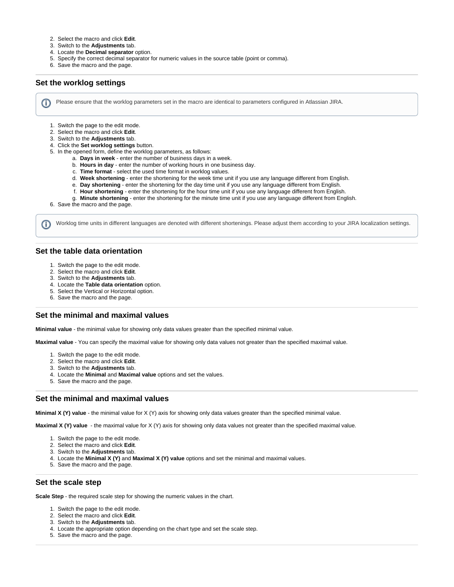- 2. Select the macro and click **Edit**.
- 3. Switch to the **Adjustments** tab.
- 4. Locate the **Decimal separator** option.
- 5. Specify the correct decimal separator for numeric values in the source table (point or comma).
- 6. Save the macro and the page.

### <span id="page-2-0"></span>**Set the worklog settings**

Please ensure that the worklog parameters set in the macro are identical to parameters configured in Atlassian JIRA.

- 1. Switch the page to the edit mode.
- 2. Select the macro and click **Edit**.
- 3. Switch to the **Adjustments** tab.
- 4. Click the **Set worklog settings** button.
- 5. In the opened form, define the worklog parameters, as follows:
	- a. **Days in week** enter the number of business days in a week.
		- b. **Hours in day** enter the number of working hours in one business day.
		- c. **Time format** select the used time format in worklog values.
		- d. **Week shortening** enter the shortening for the week time unit if you use any language different from English.
		- e. **Day shortening** enter the shortening for the day time unit if you use any language different from English.
		- f. **Hour shortening** enter the shortening for the hour time unit if you use any language different from English.
		- g. **Minute shortening** enter the shortening for the minute time unit if you use any language different from English.

6. Save the macro and the page.

Worklog time units in different languages are denoted with different shortenings. Please adjust them according to your JIRA localization settings.

## <span id="page-2-1"></span>**Set the table data orientation**

G)

- 1. Switch the page to the edit mode.
- 2. Select the macro and click **Edit**.
- 3. Switch to the **Adjustments** tab.
- 4. Locate the **Table data orientation** option.
- 5. Select the Vertical or Horizontal option.
- 6. Save the macro and the page.

#### <span id="page-2-2"></span>**Set the minimal and maximal values**

**Minimal value** - the minimal value for showing only data values greater than the specified minimal value.

**Maximal value** - You can specify the maximal value for showing only data values not greater than the specified maximal value.

- 1. Switch the page to the edit mode.
- 2. Select the macro and click **Edit**.
- 3. Switch to the **Adjustments** tab.
- 4. Locate the **Minimal** and **Maximal value** options and set the values.
- 5. Save the macro and the page.

#### <span id="page-2-3"></span>**Set the minimal and maximal values**

**Minimal X (Y) value** - the minimal value for X (Y) axis for showing only data values greater than the specified minimal value.

**Maximal X (Y) value** - the maximal value for X (Y) axis for showing only data values not greater than the specified maximal value.

- 1. Switch the page to the edit mode.
- 2. Select the macro and click **Edit**.
- 3. Switch to the **Adjustments** tab.
- 4. Locate the **Minimal X (Y)** and **Maximal X (Y) value** options and set the minimal and maximal values.
- 5. Save the macro and the page.

## <span id="page-2-4"></span>**Set the scale step**

**Scale Step** - the required scale step for showing the numeric values in the chart.

- 1. Switch the page to the edit mode.
- 2. Select the macro and click **Edit**.
- 3. Switch to the **Adjustments** tab.
- 4. Locate the appropriate option depending on the chart type and set the scale step.
- <span id="page-2-5"></span>5. Save the macro and the page.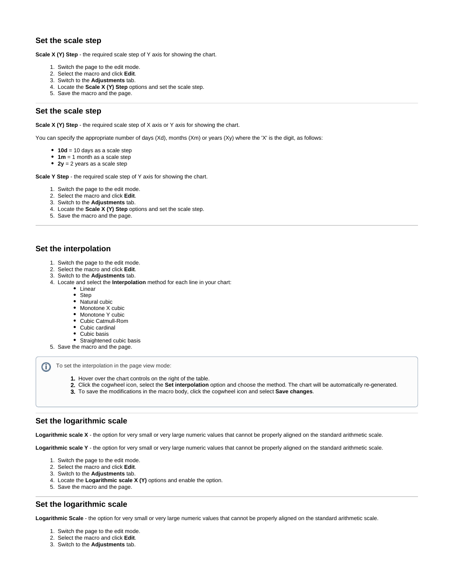## **Set the scale step**

**Scale X (Y) Step** - the required scale step of Y axis for showing the chart.

- 1. Switch the page to the edit mode.
- 2. Select the macro and click **Edit**.
- 3. Switch to the **Adjustments** tab.
- 4. Locate the **Scale X (Y) Step** options and set the scale step.
- 5. Save the macro and the page.

## <span id="page-3-0"></span>**Set the scale step**

**Scale X (Y) Step** - the required scale step of X axis or Y axis for showing the chart.

You can specify the appropriate number of days (Xd), months (Xm) or years (Xy) where the 'X' is the digit, as follows:

- **10d** = 10 days as a scale step
- **1m** = 1 month as a scale step
- **2y** = 2 years as a scale step

**Scale Y Step** - the required scale step of Y axis for showing the chart.

- 1. Switch the page to the edit mode.
- 2. Select the macro and click **Edit**.
- 3. Switch to the **Adjustments** tab.
- 4. Locate the **Scale X (Y) Step** options and set the scale step.
- 5. Save the macro and the page.

## <span id="page-3-1"></span>**Set the interpolation**

- 1. Switch the page to the edit mode.
- 2. Select the macro and click **Edit**.
- 3. Switch to the **Adjustments** tab.
- 4. Locate and select the **Interpolation** method for each line in your chart:
	- Linear
		- Step
		- Natural cubic
		- Monotone X cubic
		- Monotone Y cubic
		- Cubic Catmull-Rom
		- Cubic cardinal
		- Cubic basis
	- Straightened cubic basis
- 5. Save the macro and the page.

To set the interpolation in the page view mode: ത

- 1. Hover over the chart controls on the right of the table.
- 2. Click the cogwheel icon, select the **Set interpolation** option and choose the method. The chart will be automatically re-generated.
- 3. To save the modifications in the macro body, click the cogwheel icon and select **Save changes**.

## <span id="page-3-2"></span>**Set the logarithmic scale**

**Logarithmic scale X** - the option for very small or very large numeric values that cannot be properly aligned on the standard arithmetic scale.

**Logarithmic scale Y** - the option for very small or very large numeric values that cannot be properly aligned on the standard arithmetic scale.

- 1. Switch the page to the edit mode.
- 2. Select the macro and click **Edit**.
- 3. Switch to the **Adjustments** tab.
- 4. Locate the **Logarithmic scale X (Y)** options and enable the option.
- 5. Save the macro and the page.

## <span id="page-3-3"></span>**Set the logarithmic scale**

**Logarithmic Scale** - the option for very small or very large numeric values that cannot be properly aligned on the standard arithmetic scale.

- 1. Switch the page to the edit mode.
- 2. Select the macro and click **Edit**.
- 3. Switch to the **Adjustments** tab.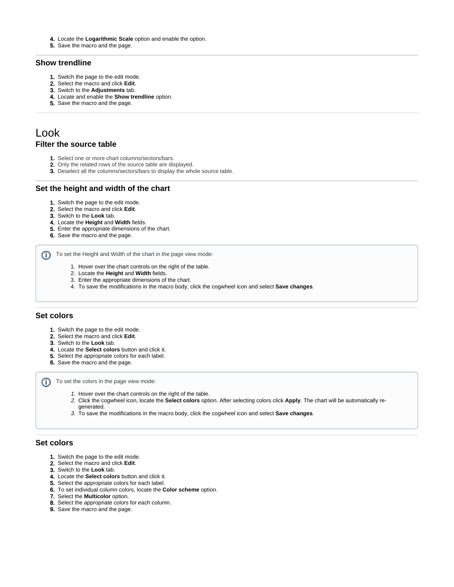- 4. Locate the **Logarithmic Scale** option and enable the option.
- 5. Save the macro and the page.

## <span id="page-4-0"></span>**Show trendline**

- 1. Switch the page to the edit mode.
- 2. Select the macro and click **Edit**.
- 3. Switch to the **Adjustments** tab.
- 4. Locate and enable the **Show trendline** option.
- 5. Save the macro and the page.

## <span id="page-4-2"></span><span id="page-4-1"></span>Look **Filter the source table**

- 1. Select one or more chart columns/sectors/bars.
- 2. Only the related rows of the source table are displayed.
- 3. Deselect all the columns/sectors/bars to display the whole source table.

## <span id="page-4-3"></span>**Set the height and width of the chart**

- 1. Switch the page to the edit mode.
- 2. Select the macro and click **Edit**.
- 3. Switch to the **Look** tab.
- 4. Locate the **Height** and **Width** fields.
- 5. Enter the appropriate dimensions of the chart.
- 6. Save the macro and the page.

To set the Height and Width of the chart in the page view mode:

- 1. Hover over the chart controls on the right of the table.
- 2. Locate the **Height** and **Width** fields.
- 3. Enter the appropriate dimensions of the chart.
- 4. To save the modifications in the macro body, click the cogwheel icon and select **Save changes**.

## <span id="page-4-4"></span>**Set colors**

- 1. Switch the page to the edit mode.
- 2. Select the macro and click **Edit**.
- 3. Switch to the **Look** tab.
- 4. Locate the **Select colors** button and click it.
- 5. Select the appropriate colors for each label.
- 6. Save the macro and the page.

To set the colors in the page view mode:

- 1. Hover over the chart controls on the right of the table.
- 2. Click the cogwheel icon, locate the **Select colors** option. After selecting colors click **Apply**. The chart will be automatically re-
- generated.<br>3. To save the To save the modifications in the macro body, click the cogwheel icon and select **Save changes**.

## <span id="page-4-5"></span>**Set colors**

- 1. Switch the page to the edit mode.
- 2. Select the macro and click **Edit**.
- 3. Switch to the **Look** tab.
- 4. Locate the **Select colors** button and click it.
- 5. Select the appropriate colors for each label.
- 6. To set individual column colors, locate the **Color scheme** option.
- 7. Select the **Multicolor** option.
- 8. Select the appropriate colors for each column.
- 9. Save the macro and the page.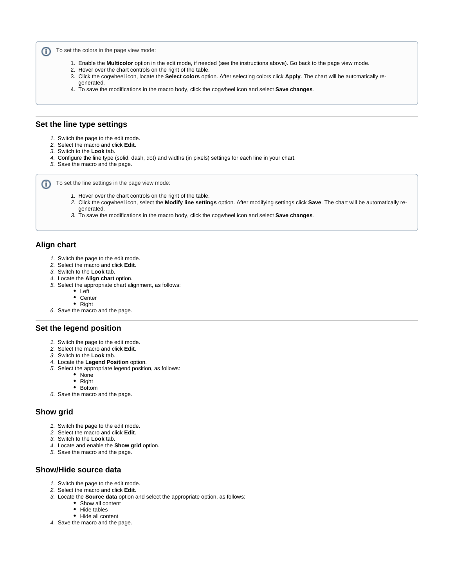To set the colors in the page view mode: ⋒

- 1. Enable the **Multicolor** option in the edit mode, if needed (see the instructions above). Go back to the page view mode.
- 2. Hover over the chart controls on the right of the table.
- 3. Click the cogwheel icon, locate the **Select colors** option. After selecting colors click **Apply**. The chart will be automatically regenerated.
- 4. To save the modifications in the macro body, click the cogwheel icon and select **Save changes**.

## <span id="page-5-0"></span>**Set the line type settings**

- 1. Switch the page to the edit mode.
- 2. Select the macro and click **Edit**.
- 3. Switch to the **Look** tab.
- 4. Configure the line type (solid, dash, dot) and widths (in pixels) settings for each line in your chart.
- 5. Save the macro and the page.

To set the line settings in the page view mode:

- 1. Hover over the chart controls on the right of the table.
- 2. Click the cogwheel icon, select the **Modify line settings** option. After modifying settings click **Save**. The chart will be automatically regenerated.
- 3. To save the modifications in the macro body, click the cogwheel icon and select **Save changes**.

## <span id="page-5-1"></span>**Align chart**

- 1. Switch the page to the edit mode.
- 2. Select the macro and click **Edit**.
- 3. Switch to the **Look** tab.
- 4. Locate the **Align chart** option.
- 5. Select the appropriate chart alignment, as follows:
	- Left
	- Center
	- Right
- 6. Save the macro and the page.

## <span id="page-5-2"></span>**Set the legend position**

- 1. Switch the page to the edit mode.
- 2. Select the macro and click **Edit**.
- 3. Switch to the **Look** tab.
- 4. Locate the **Legend Position** option.
- 5. Select the appropriate legend position, as follows:
	- None
	- Right
	- Bottom
- 6. Save the macro and the page.

## <span id="page-5-3"></span>**Show grid**

- 1. Switch the page to the edit mode.
- 2. Select the macro and click **Edit**.
- 3. Switch to the **Look** tab.
- 4. Locate and enable the **Show grid** option.
- 5. Save the macro and the page.

## <span id="page-5-4"></span>**Show/Hide source data**

- 1. Switch the page to the edit mode.
- 2. Select the macro and click **Edit**.
- 3. Locate the **Source data** option and select the appropriate option, as follows:
	- Show all content
	- Hide tables
	- Hide all content
- 4. Save the macro and the page.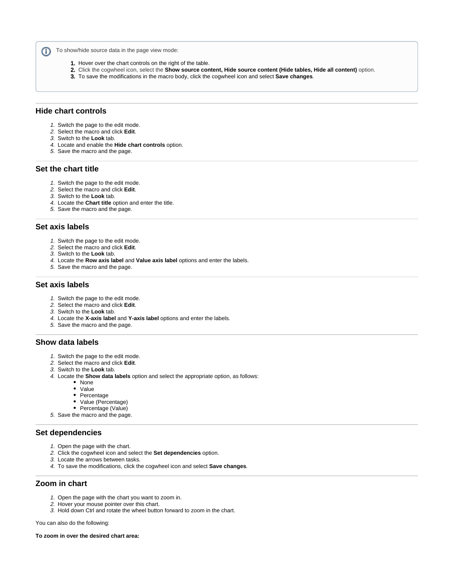To show/hide source data in the page view mode: ⋒

- 1. Hover over the chart controls on the right of the table.
- 2. Click the cogwheel icon, select the **Show source content, Hide source content (Hide tables, Hide all content)** option.
- 3. To save the modifications in the macro body, click the cogwheel icon and select **Save changes**.

#### <span id="page-6-0"></span>**Hide chart controls**

- 1. Switch the page to the edit mode.
- 2. Select the macro and click **Edit**.
- 3. Switch to the **Look** tab.
- 4. Locate and enable the **Hide chart controls** option.
- 5. Save the macro and the page.

## <span id="page-6-1"></span>**Set the chart title**

- 1. Switch the page to the edit mode.
- 2. Select the macro and click **Edit**.
- 3. Switch to the **Look** tab.
- 4. Locate the **Chart title** option and enter the title.
- 5. Save the macro and the page.

## <span id="page-6-2"></span>**Set axis labels**

- 1. Switch the page to the edit mode.
- 2. Select the macro and click **Edit**.
- 3. Switch to the **Look** tab.
- 4. Locate the **Row axis label** and **Value axis label** options and enter the labels.
- 5. Save the macro and the page.

## <span id="page-6-3"></span>**Set axis labels**

- 1. Switch the page to the edit mode.
- 2. Select the macro and click **Edit**.
- 3. Switch to the **Look** tab.
- 4. Locate the **X-axis label** and **Y-axis label** options and enter the labels.
- 5. Save the macro and the page.

## <span id="page-6-4"></span>**Show data labels**

- 1. Switch the page to the edit mode.
- 2. Select the macro and click **Edit**.
- 3. Switch to the **Look** tab.
- 4. Locate the **Show data labels** option and select the appropriate option, as follows:
	- None
	- Value
	- Percentage
	- Value (Percentage)
	- Percentage (Value)
- 5. Save the macro and the page.

## <span id="page-6-5"></span>**Set dependencies**

- 1. Open the page with the chart.
- 2. Click the cogwheel icon and select the **Set dependencies** option.
- 3. Locate the arrows between tasks.
- 4. To save the modifications, click the cogwheel icon and select **Save changes**.

## <span id="page-6-6"></span>**Zoom in chart**

- 1. Open the page with the chart you want to zoom in.
- 2. Hover your mouse pointer over this chart.
- 3. Hold down Ctrl and rotate the wheel button forward to zoom in the chart.

You can also do the following:

**To zoom in over the desired chart area:**